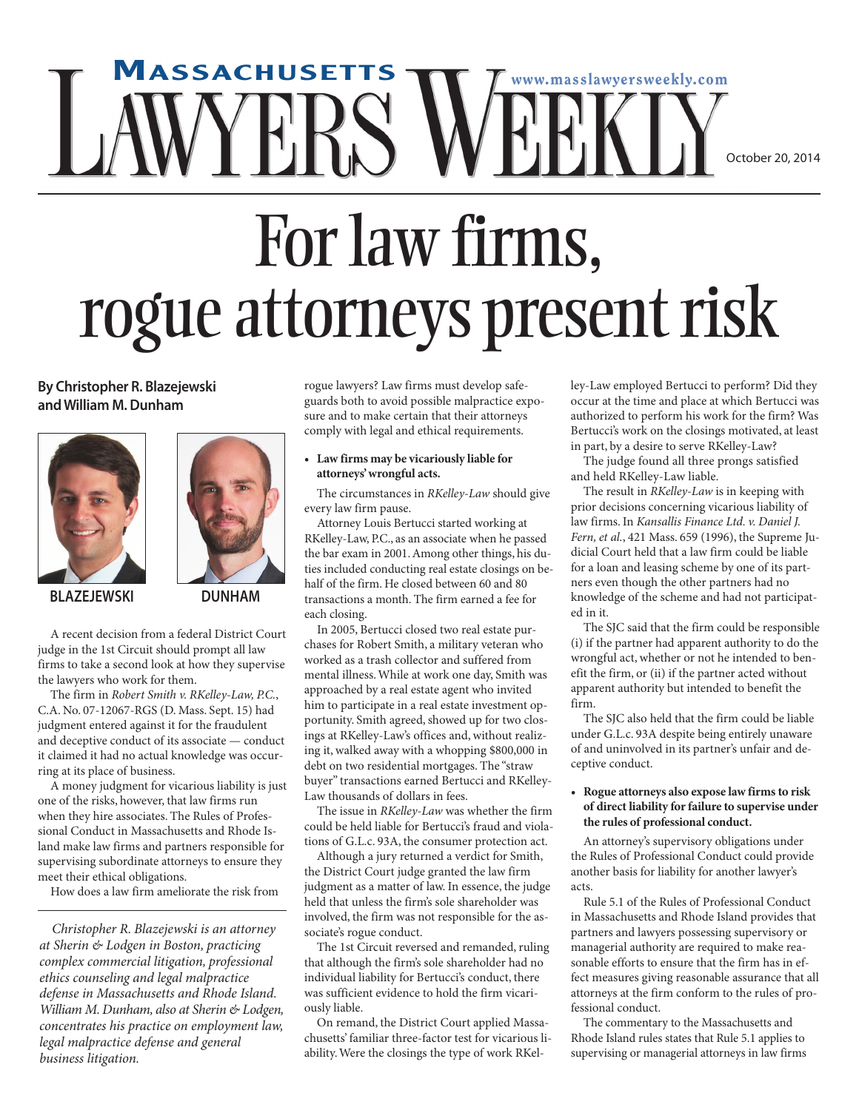## **MASSACHUSETTS www.masslawyersweekly.com** ERS ' October 20, 2014

# For law firms. rogue attorneys present risk

**By Christopher R. Blazejewski andWilliam M.Dunham**





**BLAZEJEWSKI DUNHAM**

A recent decision from a federal District Court judge in the 1st Circuit should prompt all law firms to take a second look at how they supervise the lawyers who work for them.

The firm in *Robert Smith v. RKelley-Law, P.C.*, C.A. No. 07-12067-RGS (D. Mass. Sept. 15) had judgment entered against it for the fraudulent and deceptive conduct of its associate — conduct it claimed it had no actual knowledge was occurring at its place of business.

A money judgment for vicarious liability is just one of the risks, however, that law firms run when they hire associates. The Rules of Professional Conduct in Massachusetts and Rhode Island make law firms and partners responsible for supervising subordinate attorneys to ensure they meet their ethical obligations.

How does a law firm ameliorate the risk from

*Christopher R. Blazejewski is an attorney at Sherin & Lodgen in Boston, practicing complex commercial litigation, professional ethics counseling and legal malpractice defense in Massachusetts and Rhode Island. William M. Dunham, also at Sherin & Lodgen, concentrates his practice on employment law, legal malpractice defense and general business litigation.*

rogue lawyers? Law firms must develop safeguards both to avoid possible malpractice exposure and to make certain that their attorneys comply with legal and ethical requirements.

### **• Law firms may be vicariously liable for attorneys'wrongful acts.**

The circumstances in *RKelley-Law* should give every law firm pause.

Attorney Louis Bertucci started working at RKelley-Law, P.C., as an associate when he passed the bar exam in 2001.Among other things, his duties included conducting real estate closings on behalf of the firm. He closed between 60 and 80 transactions a month. The firm earned a fee for each closing.

In 2005, Bertucci closed two real estate purchases for Robert Smith, a military veteran who worked as a trash collector and suffered from mental illness.While at work one day, Smith was approached by a real estate agent who invited him to participate in a real estate investment opportunity. Smith agreed, showed up for two closings at RKelley-Law's offices and, without realizing it, walked away with a whopping \$800,000 in debt on two residential mortgages. The "straw buyer" transactions earned Bertucci and RKelley-Law thousands of dollars in fees.

The issue in *RKelley-Law* was whether the firm could be held liable for Bertucci's fraud and violations of G.L.c. 93A, the consumer protection act.

Although a jury returned a verdict for Smith, the District Court judge granted the law firm judgment as a matter of law. In essence, the judge held that unless the firm's sole shareholder was involved, the firm was not responsible for the associate's rogue conduct.

The 1st Circuit reversed and remanded, ruling that although the firm's sole shareholder had no individual liability for Bertucci's conduct, there was sufficient evidence to hold the firm vicariously liable.

On remand, the District Court applied Massachusetts' familiar three-factor test for vicarious liability.Were the closings the type of work RKelley-Law employed Bertucci to perform? Did they occur at the time and place at which Bertucci was authorized to perform his work for the firm? Was Bertucci's work on the closings motivated, at least in part, by a desire to serve RKelley-Law?

The judge found all three prongs satisfied and held RKelley-Law liable.

The result in *RKelley-Law* is in keeping with prior decisions concerning vicarious liability of law firms. In *Kansallis Finance Ltd. v. Daniel J. Fern, et al.*, 421 Mass. 659 (1996), the Supreme Judicial Court held that a law firm could be liable for a loan and leasing scheme by one of its partners even though the other partners had no knowledge of the scheme and had not participated in it.

The SJC said that the firm could be responsible (i) if the partner had apparent authority to do the wrongful act, whether or not he intended to benefit the firm, or (ii) if the partner acted without apparent authority but intended to benefit the firm.

The SJC also held that the firm could be liable under G.L.c. 93A despite being entirely unaware of and uninvolved in its partner's unfair and deceptive conduct.

#### **• Rogue attorneys also expose law firmsto risk of direct liability for failure to supervise under the rules of professional conduct.**

An attorney's supervisory obligations under the Rules of Professional Conduct could provide another basis for liability for another lawyer's acts.

Rule 5.1 of the Rules of Professional Conduct in Massachusetts and Rhode Island provides that partners and lawyers possessing supervisory or managerial authority are required to make reasonable efforts to ensure that the firm has in effect measures giving reasonable assurance that all attorneys at the firm conform to the rules of professional conduct.

The commentary to the Massachusetts and Rhode Island rules states that Rule 5.1 applies to supervising or managerial attorneys in law firms